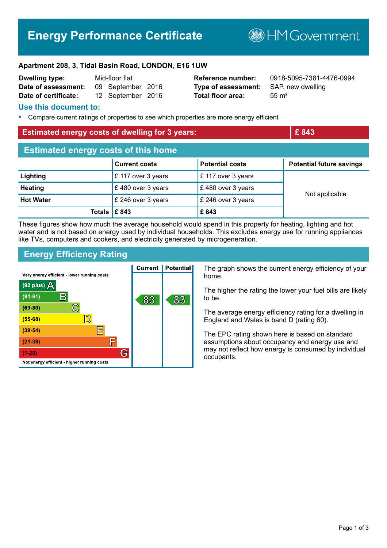# **Energy Performance Certificate**

**B**HM Government

#### **Apartment 208, 3, Tidal Basin Road, LONDON, E16 1UW**

| <b>Dwelling type:</b> | Mid-floor flat |                   |  |
|-----------------------|----------------|-------------------|--|
| Date of assessment:   |                | 09 September 2016 |  |
| Date of certificate:  |                | 12 September 2016 |  |

**Type of assessment:** SAP, new dwelling **Total floor area:** 55 m<sup>2</sup>

**Reference number:** 0918-5095-7381-4476-0994

#### **Use this document to:**

**•** Compare current ratings of properties to see which properties are more energy efficient

### **Estimated energy costs of dwelling for 3 years: EXECUTE:**  $\mathbf{E}$  843

| <b>Estimated energy costs of this home</b> |                               |                                        |                                 |  |  |
|--------------------------------------------|-------------------------------|----------------------------------------|---------------------------------|--|--|
|                                            | <b>Current costs</b>          | <b>Potential costs</b>                 | <b>Potential future savings</b> |  |  |
| Lighting                                   | $\mathsf{E}$ 117 over 3 years | $\mathsf{\pounds}$ 117 over 3 years    | Not applicable                  |  |  |
| <b>Heating</b>                             | £480 over 3 years             | $\mathsf{E}$ 480 over 3 years          |                                 |  |  |
| <b>Hot Water</b>                           | £ 246 over 3 years            | $\mathsf{\mathsf{E}}$ 246 over 3 years |                                 |  |  |
| Totals $\mathsf{E}$ 843                    |                               | £843                                   |                                 |  |  |

These figures show how much the average household would spend in this property for heating, lighting and hot water and is not based on energy used by individual households. This excludes energy use for running appliances like TVs, computers and cookers, and electricity generated by microgeneration.

# **Energy Efficiency Rating**

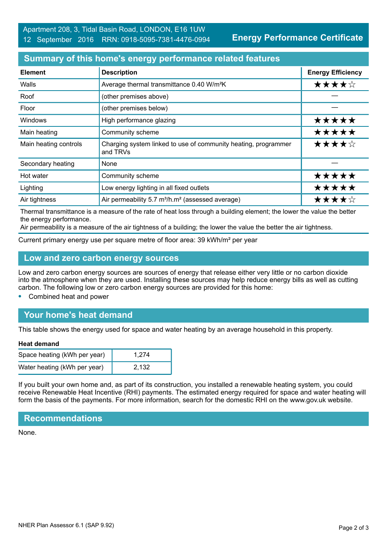**Energy Performance Certificate**

## **Summary of this home's energy performance related features**

| <b>Element</b>        | <b>Description</b>                                                         | <b>Energy Efficiency</b> |
|-----------------------|----------------------------------------------------------------------------|--------------------------|
| Walls                 | Average thermal transmittance 0.40 W/m <sup>2</sup> K                      | ★★★★☆                    |
| Roof                  | (other premises above)                                                     |                          |
| Floor                 | (other premises below)                                                     |                          |
| <b>Windows</b>        | High performance glazing                                                   | *****                    |
| Main heating          | Community scheme                                                           | *****                    |
| Main heating controls | Charging system linked to use of community heating, programmer<br>and TRVs | ★★★★☆                    |
| Secondary heating     | None                                                                       |                          |
| Hot water             | Community scheme                                                           | *****                    |
| Lighting              | Low energy lighting in all fixed outlets                                   | *****                    |
| Air tightness         | Air permeability 5.7 m <sup>3</sup> /h.m <sup>2</sup> (assessed average)   | ★★★★☆                    |

Thermal transmittance is a measure of the rate of heat loss through a building element; the lower the value the better the energy performance.

Air permeability is a measure of the air tightness of a building; the lower the value the better the air tightness.

Current primary energy use per square metre of floor area: 39 kWh/m² per year

### **Low and zero carbon energy sources**

Low and zero carbon energy sources are sources of energy that release either very little or no carbon dioxide into the atmosphere when they are used. Installing these sources may help reduce energy bills as well as cutting carbon. The following low or zero carbon energy sources are provided for this home:

**•** Combined heat and power

# **Your home's heat demand**

This table shows the energy used for space and water heating by an average household in this property.

#### **Heat demand**

| Space heating (kWh per year) | 1.274 |
|------------------------------|-------|
| Water heating (kWh per year) | 2.132 |

If you built your own home and, as part of its construction, you installed a renewable heating system, you could receive Renewable Heat Incentive (RHI) payments. The estimated energy required for space and water heating will form the basis of the payments. For more information, search for the domestic RHI on the www.gov.uk website.

#### **Recommendations**

None.